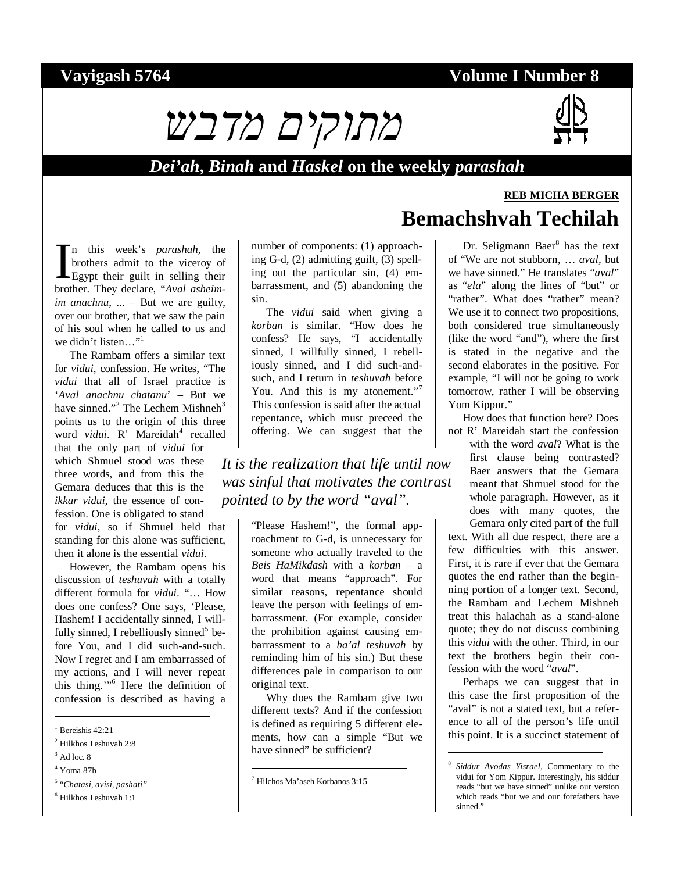## **Vayigash 5764 Volume I Number 8**





## *Dei'ah***,** *Binah* **and** *Haskel* **on the weekly** *parashah*

#### **REB MICHA BERGER**

n this week's *parashah*, the brothers admit to the viceroy of Egypt their guilt in selling their In this week's *parashah*, the brothers admit to the viceroy of Egypt their guilt in selling their brother. They declare, "*Aval asheimim anachnu*, ... – But we are guilty, over our brother, that we saw the pain of his soul when he called to us and we didn't listen..."<sup>1</sup>

The Rambam offers a similar text for *vidui*, confession. He writes, "The *vidui* that all of Israel practice is '*Aval anachnu chatanu*' – But we have sinned."<sup>2</sup> The Lechem Mishneh<sup>3</sup> points us to the origin of this three word *vidui*. R' Mareidah<sup>4</sup> recalled that the only part of *vidui* for which Shmuel stood was these three words, and from this the Gemara deduces that this is the *ikkar vidui*, the essence of confession. One is obligated to stand for *vidui*, so if Shmuel held that standing for this alone was sufficient, then it alone is the essential *vidui*.

However, the Rambam opens his discussion of *teshuvah* with a totally different formula for *vidui*. "… How does one confess? One says, 'Please, Hashem! I accidentally sinned, I willfully sinned, I rebelliously sinned<sup>5</sup> before You, and I did such-and-such. Now I regret and I am embarrassed of my actions, and I will never repeat this thing.'"<sup>6</sup> Here the definition of confession is described as having a

-

4 Yoma 87b

number of components: (1) approaching G-d, (2) admitting guilt, (3) spelling out the particular sin, (4) embarrassment, and (5) abandoning the sin.

The *vidui* said when giving a *korban* is similar. "How does he confess? He says, "I accidentally sinned, I willfully sinned, I rebelliously sinned, and I did such-andsuch, and I return in *teshuvah* before You. And this is my atonement."<sup>7</sup> This confession is said after the actual repentance, which must preceed the offering. We can suggest that the

*It is the realization that life until now was sinful that motivates the contrast pointed to by the word "aval".*

> "Please Hashem!", the formal approachment to G-d, is unnecessary for someone who actually traveled to the *Beis HaMikdash* with a *korban* – a word that means "approach"*.* For similar reasons, repentance should leave the person with feelings of embarrassment. (For example, consider the prohibition against causing embarrassment to a *ba'al teshuvah* by reminding him of his sin.) But these differences pale in comparison to our original text.

> Why does the Rambam give two different texts? And if the confession is defined as requiring 5 different elements, how can a simple "But we have sinned" be sufficient?

-

# **Bemachshvah Techilah**

Dr. Seligmann Baer<sup>8</sup> has the text of "We are not stubborn, … *aval,* but we have sinned." He translates "*aval*" as "*ela*" along the lines of "but" or "rather". What does "rather" mean? We use it to connect two propositions, both considered true simultaneously (like the word "and"), where the first is stated in the negative and the second elaborates in the positive. For example, "I will not be going to work tomorrow, rather I will be observing Yom Kippur."

How does that function here? Does not R' Mareidah start the confession

> with the word *aval*? What is the first clause being contrasted? Baer answers that the Gemara meant that Shmuel stood for the whole paragraph. However, as it does with many quotes, the Gemara only cited part of the full

text. With all due respect, there are a few difficulties with this answer. First, it is rare if ever that the Gemara quotes the end rather than the beginning portion of a longer text. Second, the Rambam and Lechem Mishneh treat this halachah as a stand-alone quote; they do not discuss combining this *vidui* with the other. Third, in our text the brothers begin their confession with the word "*aval*".

Perhaps we can suggest that in this case the first proposition of the "aval" is not a stated text, but a reference to all of the person's life until this point. It is a succinct statement of

 $\overline{a}$ 

<sup>1</sup> Bereishis 42:21

<sup>2</sup> Hilkhos Teshuvah 2:8

 $3$  Ad loc. 8

<sup>5</sup> "*Chatasi, avisi, pashati"*

<sup>6</sup> Hilkhos Teshuvah 1:1

<sup>7</sup> Hilchos Ma'aseh Korbanos 3:15

<sup>8</sup> *Siddur Avodas Yisrael*, Commentary to the vidui for Yom Kippur. Interestingly, his siddur reads "but we have sinned" unlike our version which reads "but we and our forefathers have sinned."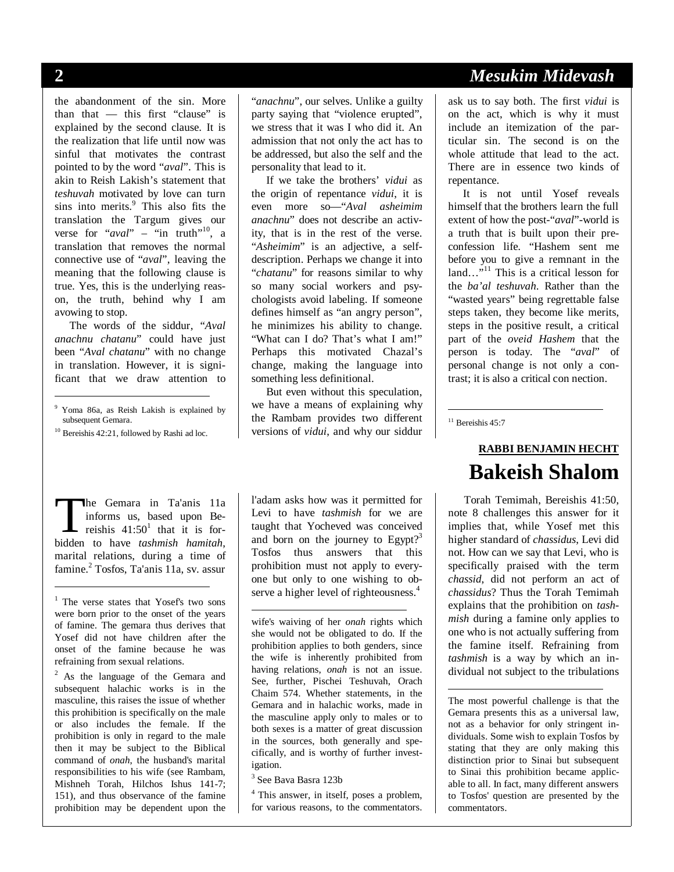-

-

#### the abandonment of the sin. More than that — this first "clause" is explained by the second clause. It is the realization that life until now was sinful that motivates the contrast pointed to by the word "*aval*". This is akin to Reish Lakish's statement that *teshuvah* motivated by love can turn sins into merits.<sup>9</sup> This also fits the translation the Targum gives our verse for " $aval$ " – "in truth"<sup>10</sup>, a translation that removes the normal connective use of "*aval*", leaving the meaning that the following clause is true. Yes, this is the underlying reason, the truth, behind why I am avowing to stop.

The words of the siddur, "*Aval anachnu chatanu*" could have just been "*Aval chatanu*" with no change in translation. However, it is significant that we draw attention to

<sup>10</sup> Bereishis 42:21, followed by Rashi ad loc.

he Gemara in Ta'anis 11a informs us, based upon Bereishis  $41:50<sup>1</sup>$  that it is for**he** Gemara in Ta'anis 11a informs us, based upon Bereishis 41:50<sup>1</sup> that it is for-<br>bidden to have *tashmish hamitah*, marital relations, during a time of famine.<sup>2</sup> Tosfos, Ta'anis 11a, sv. assur

<sup>1</sup> The verse states that Yosef's two sons were born prior to the onset of the years of famine. The gemara thus derives that Yosef did not have children after the onset of the famine because he was refraining from sexual relations.

<sup>2</sup> As the language of the Gemara and subsequent halachic works is in the masculine, this raises the issue of whether this prohibition is specifically on the male or also includes the female. If the prohibition is only in regard to the male then it may be subject to the Biblical command of *onah*, the husband's marital responsibilities to his wife (see Rambam, Mishneh Torah, Hilchos Ishus 141-7; 151), and thus observance of the famine prohibition may be dependent upon the "*anachnu*", our selves. Unlike a guilty party saying that "violence erupted", we stress that it was I who did it. An admission that not only the act has to be addressed, but also the self and the personality that lead to it.

If we take the brothers' *vidui* as the origin of repentance *vidui*, it is even more so—"*Aval asheimim anachnu*" does not describe an activity, that is in the rest of the verse. "*Asheimim*" is an adjective, a selfdescription. Perhaps we change it into "*chatanu*" for reasons similar to why so many social workers and psychologists avoid labeling. If someone defines himself as "an angry person", he minimizes his ability to change. "What can I do? That's what I am!" Perhaps this motivated Chazal's change, making the language into something less definitional.

But even without this speculation, we have a means of explaining why the Rambam provides two different versions of *vidui*, and why our siddur

l'adam asks how was it permitted for Levi to have *tashmish* for we are taught that Yocheved was conceived and born on the journey to  $Egypt?$ <sup>3</sup> Tosfos thus answers that this prohibition must not apply to everyone but only to one wishing to observe a higher level of righteousness.<sup>4</sup>

wife's waiving of her *onah* rights which she would not be obligated to do. If the prohibition applies to both genders, since the wife is inherently prohibited from having relations, *onah* is not an issue. See, further, Pischei Teshuvah, Orach Chaim 574. Whether statements, in the Gemara and in halachic works, made in the masculine apply only to males or to both sexes is a matter of great discussion in the sources, both generally and specifically, and is worthy of further investigation.

3 See Bava Basra 123b

-

<sup>4</sup> This answer, in itself, poses a problem, for various reasons, to the commentators.

# **2** *Mesukim Midevash*

ask us to say both. The first *vidui* is on the act, which is why it must include an itemization of the particular sin. The second is on the whole attitude that lead to the act. There are in essence two kinds of repentance.

It is not until Yosef reveals himself that the brothers learn the full extent of how the post-"*aval*"-world is a truth that is built upon their preconfession life. "Hashem sent me before you to give a remnant in the  $l$ and...<sup>"11</sup> This is a critical lesson for the *ba'al teshuvah*. Rather than the "wasted years" being regrettable false steps taken, they become like merits, steps in the positive result, a critical part of the *oveid Hashem* that the person is today. The "*aval*" of personal change is not only a contrast; it is also a critical con nection.

 $11$  Bereishis 45:7

 $\overline{a}$ 

 $\overline{a}$ 

# **RABBI BENJAMIN HECHT Bakeish Shalom**

Torah Temimah, Bereishis 41:50, note 8 challenges this answer for it implies that, while Yosef met this higher standard of *chassidus*, Levi did not. How can we say that Levi, who is specifically praised with the term *chassid*, did not perform an act of *chassidus*? Thus the Torah Temimah explains that the prohibition on *tashmish* during a famine only applies to one who is not actually suffering from the famine itself. Refraining from *tashmish* is a way by which an individual not subject to the tribulations

The most powerful challenge is that the Gemara presents this as a universal law, not as a behavior for only stringent individuals. Some wish to explain Tosfos by stating that they are only making this distinction prior to Sinai but subsequent to Sinai this prohibition became applicable to all. In fact, many different answers to Tosfos' question are presented by the commentators.

<sup>9</sup> Yoma 86a, as Reish Lakish is explained by subsequent Gemara.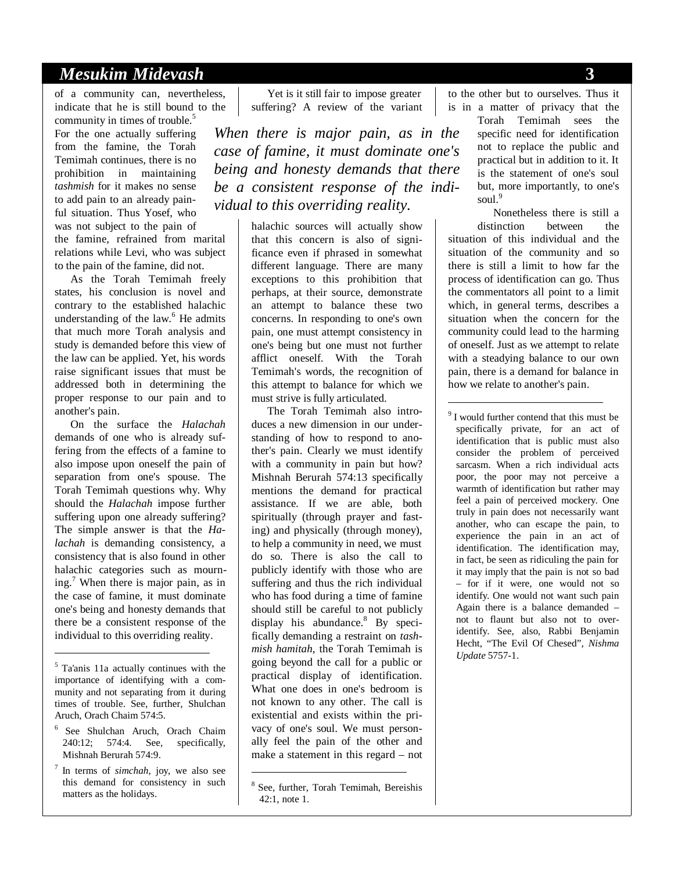## *Mesukim Midevash* **3**

of a community can, nevertheless, indicate that he is still bound to the community in times of trouble.<sup>5</sup>

For the one actually suffering from the famine, the Torah Temimah continues, there is no prohibition in maintaining *tashmish* for it makes no sense to add pain to an already painful situation. Thus Yosef, who was not subject to the pain of the famine, refrained from marital relations while Levi, who was subject to the pain of the famine, did not.

As the Torah Temimah freely states, his conclusion is novel and contrary to the established halachic understanding of the law.<sup>6</sup> He admits that much more Torah analysis and study is demanded before this view of the law can be applied. Yet, his words raise significant issues that must be addressed both in determining the proper response to our pain and to another's pain.

On the surface the *Halachah* demands of one who is already suffering from the effects of a famine to also impose upon oneself the pain of separation from one's spouse. The Torah Temimah questions why. Why should the *Halachah* impose further suffering upon one already suffering? The simple answer is that the *Halachah* is demanding consistency, a consistency that is also found in other halachic categories such as mourning.<sup>7</sup> When there is major pain, as in the case of famine, it must dominate one's being and honesty demands that there be a consistent response of the individual to this overriding reality.

5 Ta'anis 11a actually continues with the importance of identifying with a community and not separating from it during times of trouble. See, further, Shulchan Aruch, Orach Chaim 574:5.

-

- 6 See Shulchan Aruch, Orach Chaim 240:12; 574:4. See, specifically, Mishnah Berurah 574:9.
- 7 In terms of *simchah*, joy, we also see this demand for consistency in such matters as the holidays.

Yet is it still fair to impose greater suffering? A review of the variant

*When there is major pain, as in the case of famine, it must dominate one's being and honesty demands that there be a consistent response of the individual to this overriding reality.*

> halachic sources will actually show that this concern is also of significance even if phrased in somewhat different language. There are many exceptions to this prohibition that perhaps, at their source, demonstrate an attempt to balance these two concerns. In responding to one's own pain, one must attempt consistency in one's being but one must not further afflict oneself. With the Torah Temimah's words, the recognition of this attempt to balance for which we must strive is fully articulated.

> The Torah Temimah also introduces a new dimension in our understanding of how to respond to another's pain. Clearly we must identify with a community in pain but how? Mishnah Berurah 574:13 specifically mentions the demand for practical assistance. If we are able, both spiritually (through prayer and fasting) and physically (through money), to help a community in need, we must do so. There is also the call to publicly identify with those who are suffering and thus the rich individual who has food during a time of famine should still be careful to not publicly display his abundance.<sup>8</sup> By specifically demanding a restraint on *tashmish hamitah*, the Torah Temimah is going beyond the call for a public or practical display of identification. What one does in one's bedroom is not known to any other. The call is existential and exists within the privacy of one's soul. We must personally feel the pain of the other and make a statement in this regard – not

-

to the other but to ourselves. Thus it is in a matter of privacy that the

> Torah Temimah sees the specific need for identification not to replace the public and practical but in addition to it. It is the statement of one's soul but, more importantly, to one's soul.<sup>9</sup>

Nonetheless there is still a distinction between the situation of this individual and the situation of the community and so there is still a limit to how far the process of identification can go. Thus the commentators all point to a limit which, in general terms, describes a situation when the concern for the community could lead to the harming of oneself. Just as we attempt to relate with a steadying balance to our own pain, there is a demand for balance in how we relate to another's pain.

 $\overline{a}$ 

<sup>9</sup> I would further contend that this must be specifically private, for an act of identification that is public must also consider the problem of perceived sarcasm. When a rich individual acts poor, the poor may not perceive a warmth of identification but rather may feel a pain of perceived mockery. One truly in pain does not necessarily want another, who can escape the pain, to experience the pain in an act of identification. The identification may, in fact, be seen as ridiculing the pain for it may imply that the pain is not so bad – for if it were, one would not so identify. One would not want such pain Again there is a balance demanded – not to flaunt but also not to overidentify. See, also, Rabbi Benjamin Hecht, "The Evil Of Chesed", *Nishma Update* 5757-1.

<sup>8</sup> See, further, Torah Temimah, Bereishis 42:1, note 1.